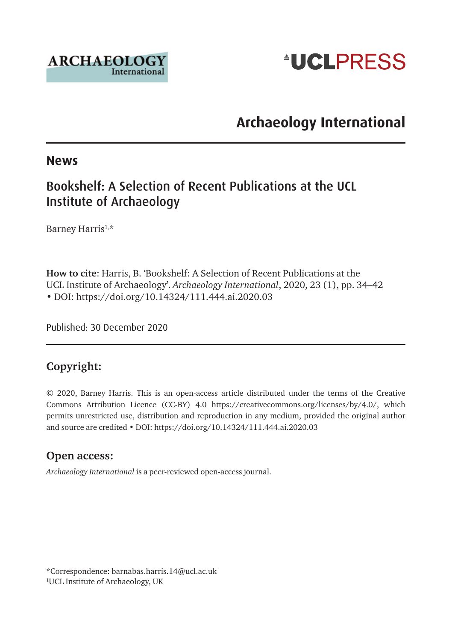



# **Archaeology International**

#### **News**

### Bookshelf: A Selection of Recent Publications at the UCL Institute of Archaeology

Barney Harris<sup>1,\*</sup>

**How to cite**: Harris, B. 'Bookshelf: A Selection of Recent Publications at the UCL Institute of Archaeology'. *Archaeology International*, 2020, 23 (1), pp. 34–42 • DOI: <https://doi.org/10.14324/111.444.ai.2020.03>

Published: 30 December 2020

### **Copyright:**

© 2020, Barney Harris. This is an open-access article distributed under the terms of the Creative Commons Attribution Licence (CC-BY) 4.0 <https://creativecommons.org/licenses/by/4.0/>, which permits unrestricted use, distribution and reproduction in any medium, provided the original author and source are credited • DOI:<https://doi.org/10.14324/111.444.ai.2020.03>

#### **Open access:**

*Archaeology International* is a peer-reviewed open-access journal.

\*Correspondence: [barnabas.harris.14@ucl.ac.uk](mailto:barnabas.harris.14@ucl.ac.uk) 1 UCL Institute of Archaeology, UK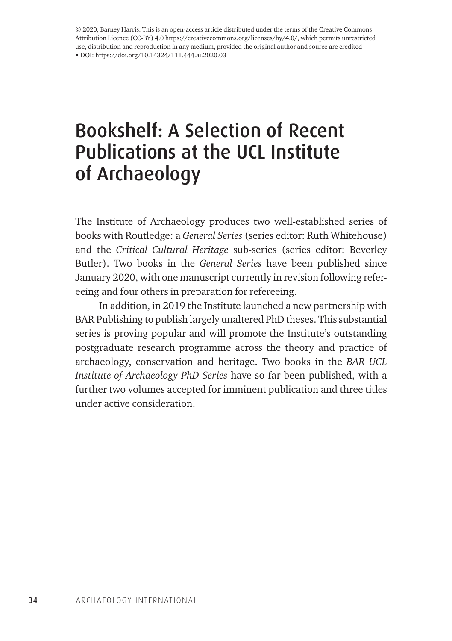© 2020, Barney Harris. This is an open-access article distributed under the terms of the Creative Commons Attribution Licence (CC-BY) 4.0 <https://creativecommons.org/licenses/by/4.0/>, which permits unrestricted use, distribution and reproduction in any medium, provided the original author and source are credited • DOI: https://doi.org/10.14324/111.444.ai.2020.03

# Bookshelf: A Selection of Recent Publications at the UCL Institute of Archaeology

The Institute of Archaeology produces two well-established series of books with Routledge: a *General Series* (series editor: Ruth Whitehouse) and the *Critical Cultural Heritage* sub-series (series editor: Beverley Butler). Two books in the *General Series* have been published since January 2020, with one manuscript currently in revision following refereeing and four others in preparation for refereeing.

In addition, in 2019 the Institute launched a new partnership with BAR Publishing to publish largely unaltered PhD theses. This substantial series is proving popular and will promote the Institute's outstanding postgraduate research programme across the theory and practice of archaeology, conservation and heritage. Two books in the *BAR UCL Institute of Archaeology PhD Series* have so far been published, with a further two volumes accepted for imminent publication and three titles under active consideration.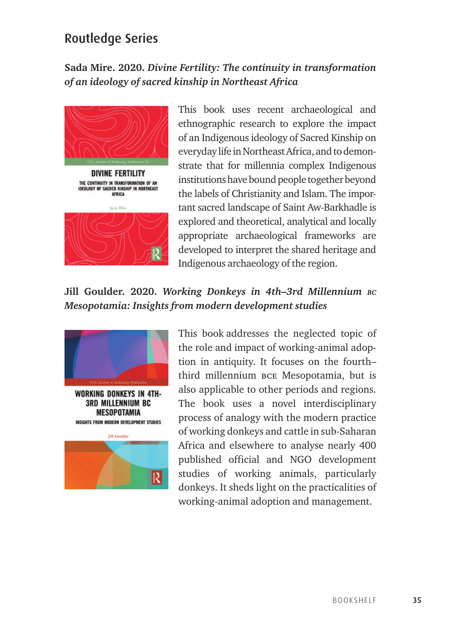## Routledge Series

### **Sada Mire. 2020.** *Divine Fertility: The continuity in transformation of an ideology of sacred kinship in Northeast Africa*



**DIVINE FERTILITY** THE CONTINUITY IN TRANSFORMATION OF AN<br>IDEOLOGY OF SACRED KINSHIP IN NORTHEAST AFRICA



This book uses recent archaeological and ethnographic research to explore the impact of an Indigenous ideology of Sacred Kinship on everyday life in Northeast Africa, and to demonstrate that for millennia complex Indigenous institutions have bound people together beyond the labels of Christianity and Islam. The important sacred landscape of Saint Aw-Barkhadle is explored and theoretical, analytical and locally appropriate archaeological frameworks are developed to interpret the shared heritage and Indigenous archaeology of the region.

### **Jill Goulder. 2020.** *Working Donkeys in 4th–3rd Millennium bc Mesopotamia: Insights from modern development studies*



**3RD MILLENNIUM BC MESOPOTAMIA INSIGHTS FROM MODERN DEVELOPMENT STUDIES** 



This book addresses the neglected topic of the role and impact of working-animal adoption in antiquity. It focuses on the fourth– third millennium bce Mesopotamia, but is also applicable to other periods and regions. The book uses a novel interdisciplinary process of analogy with the modern practice of working donkeys and cattle in sub-Saharan Africa and elsewhere to analyse nearly 400 published official and NGO development studies of working animals, particularly donkeys. It sheds light on the practicalities of working-animal adoption and management.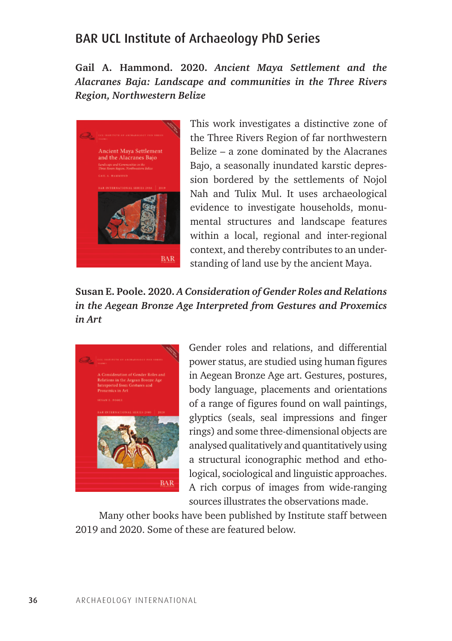### BAR UCL Institute of Archaeology PhD Series

**Gail A. Hammond. 2020.** *Ancient Maya Settlement and the Alacranes Baja: Landscape and communities in the Three Rivers Region, Northwestern Belize*



This work investigates a distinctive zone of the Three Rivers Region of far northwestern Belize – a zone dominated by the Alacranes Bajo, a seasonally inundated karstic depression bordered by the settlements of Nojol Nah and Tulix Mul. It uses archaeological evidence to investigate households, monumental structures and landscape features within a local, regional and inter-regional context, and thereby contributes to an understanding of land use by the ancient Maya.

### **Susan E. Poole. 2020.** *A Consideration of Gender Roles and Relations in the Aegean Bronze Age Interpreted from Gestures and Proxemics in Art*



Gender roles and relations, and differential power status, are studied using human figures in Aegean Bronze Age art. Gestures, postures, body language, placements and orientations of a range of figures found on wall paintings, glyptics (seals, seal impressions and finger rings) and some three-dimensional objects are analysed qualitatively and quantitatively using a structural iconographic method and ethological, sociological and linguistic approaches. A rich corpus of images from wide-ranging sources illustrates the observations made.

Many other books have been published by Institute staff between 2019 and 2020. Some of these are featured below.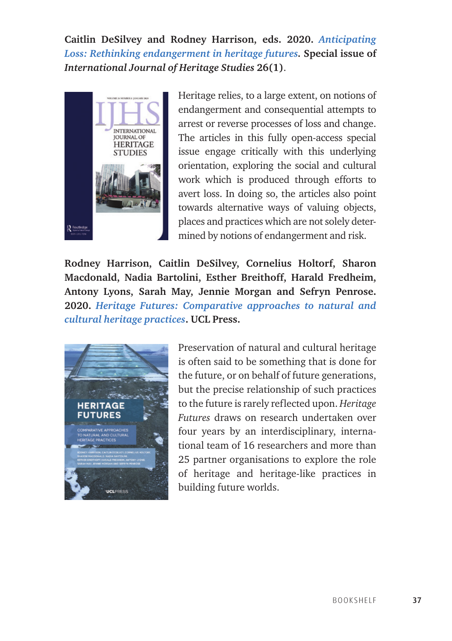**Caitlin DeSilvey and Rodney Harrison, eds. 2020.** *[Anticipating](https://www.tandfonline.com/toc/rjhs20/26/1?nav=tocList)  [Loss: Rethinking endangerment in heritage futures.](https://www.tandfonline.com/toc/rjhs20/26/1?nav=tocList)* **Special issue of**  *International Journal of Heritage Studies* **26(1)**.



Heritage relies, to a large extent, on notions of endangerment and consequential attempts to arrest or reverse processes of loss and change. The articles in this fully open-access special issue engage critically with this underlying orientation, exploring the social and cultural work which is produced through efforts to avert loss. In doing so, the articles also point towards alternative ways of valuing objects, places and practices which are not solely determined by notions of endangerment and risk.

**Rodney Harrison, Caitlin DeSilvey, Cornelius Holtorf, Sharon Macdonald, Nadia Bartolini, Esther Breithoff, Harald Fredheim, Antony Lyons, Sarah May, Jennie Morgan and Sefryn Penrose. 2020.** *[Heritage Futures: Comparative approaches to natural and](https://www.uclpress.co.uk/products/125036)  [cultural heritage practices](https://www.uclpress.co.uk/products/125036)***. UCL Press.**



Preservation of natural and cultural heritage is often said to be something that is done for the future, or on behalf of future generations, but the precise relationship of such practices to the future is rarely reflected upon. *Heritage Futures* draws on research undertaken over four years by an interdisciplinary, international team of 16 researchers and more than 25 partner organisations to explore the role of heritage and heritage-like practices in building future worlds.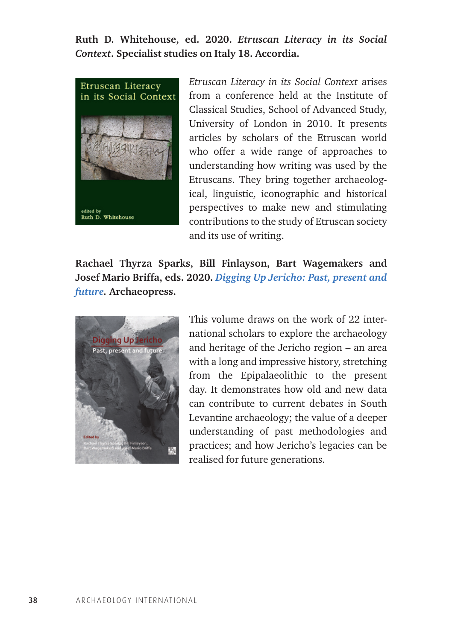**Ruth D. Whitehouse, ed. 2020.** *Etruscan Literacy in its Social Context***. Specialist studies on Italy 18. Accordia.**



*Etruscan Literacy in its Social Context* arises from a conference held at the Institute of Classical Studies, School of Advanced Study, University of London in 2010. It presents articles by scholars of the Etruscan world who offer a wide range of approaches to understanding how writing was used by the Etruscans. They bring together archaeological, linguistic, iconographic and historical perspectives to make new and stimulating contributions to the study of Etruscan society and its use of writing.

**Rachael Thyrza Sparks, Bill Finlayson, Bart Wagemakers and Josef Mario Briffa, eds. 2020.** *[Digging Up Jericho: Past, present and](https://www.jstor.org/stable/j.ctvwh8bss)  [future](https://www.jstor.org/stable/j.ctvwh8bss).* **Archaeopress.**



This volume draws on the work of 22 international scholars to explore the archaeology and heritage of the Jericho region – an area with a long and impressive history, stretching from the Epipalaeolithic to the present day. It demonstrates how old and new data can contribute to current debates in South Levantine archaeology; the value of a deeper understanding of past methodologies and practices; and how Jericho's legacies can be realised for future generations.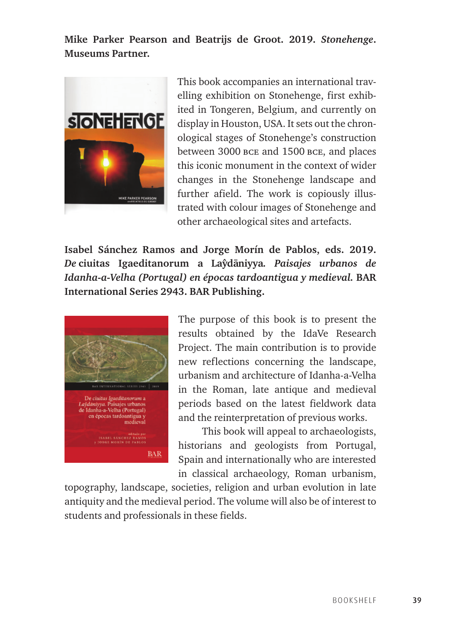**Mike Parker Pearson and Beatrijs de Groot. 2019.** *Stonehenge***. Museums Partner.**



This book accompanies an international travelling exhibition on Stonehenge, first exhibited in Tongeren, Belgium, and currently on display in Houston, USA. It sets out the chronological stages of Stonehenge's construction between 3000 bce and 1500 bce, and places this iconic monument in the context of wider changes in the Stonehenge landscape and further afield. The work is copiously illustrated with colour images of Stonehenge and other archaeological sites and artefacts.

**Isabel Sánchez Ramos and Jorge Morín de Pablos, eds. 2019.**  *De* **ciuitas Igaeditanorum a Layˆdaˉniyya***. Paisajes urbanos de Idanha-a-Velha (Portugal) en épocas tardoantigua y medieval.* **BAR International Series 2943. BAR Publishing.**



The purpose of this book is to present the results obtained by the IdaVe Research Project. The main contribution is to provide new reflections concerning the landscape, urbanism and architecture of Idanha-a-Velha in the Roman, late antique and medieval periods based on the latest fieldwork data and the reinterpretation of previous works.

This book will appeal to archaeologists, historians and geologists from Portugal, Spain and internationally who are interested in classical archaeology, Roman urbanism,

topography, landscape, societies, religion and urban evolution in late antiquity and the medieval period. The volume will also be of interest to students and professionals in these fields.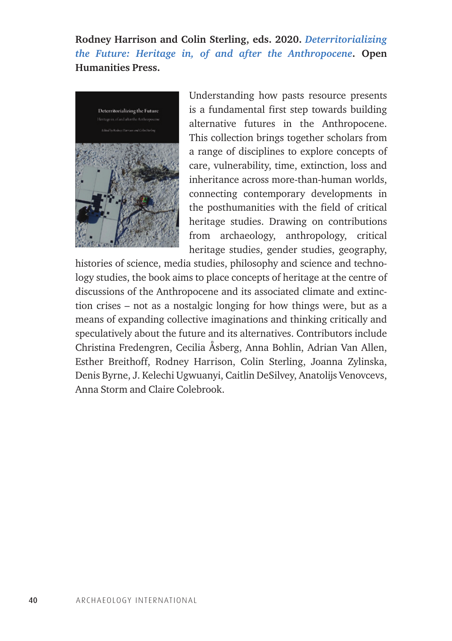**Rodney Harrison and Colin Sterling, eds. 2020.** *[Deterritorializing](http://www.openhumanitiespress.org/books/titles/deterritorializing-the-future/)  [the Future: Heritage in, of and after the Anthropocene](http://www.openhumanitiespress.org/books/titles/deterritorializing-the-future/)***. Open Humanities Press.**



Understanding how pasts resource presents is a fundamental first step towards building alternative futures in the Anthropocene. This collection brings together scholars from a range of disciplines to explore concepts of care, vulnerability, time, extinction, loss and inheritance across more-than-human worlds, connecting contemporary developments in the posthumanities with the field of critical heritage studies. Drawing on contributions from archaeology, anthropology, critical heritage studies, gender studies, geography,

histories of science, media studies, philosophy and science and technology studies, the book aims to place concepts of heritage at the centre of discussions of the Anthropocene and its associated climate and extinction crises – not as a nostalgic longing for how things were, but as a means of expanding collective imaginations and thinking critically and speculatively about the future and its alternatives. Contributors include Christina Fredengren, Cecilia Åsberg, Anna Bohlin, Adrian Van Allen, Esther Breithoff, Rodney Harrison, Colin Sterling, Joanna Zylinska, Denis Byrne, J. Kelechi Ugwuanyi, Caitlin DeSilvey, Anatolijs Venovcevs, Anna Storm and Claire Colebrook.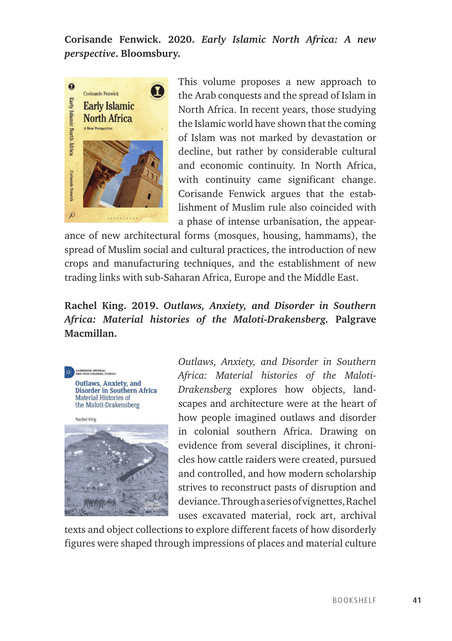**Corisande Fenwick. 2020.** *Early Islamic North Africa: A new perspective***. Bloomsbury.**



This volume proposes a new approach to the Arab conquests and the spread of Islam in North Africa. In recent years, those studying the Islamic world have shown that the coming of Islam was not marked by devastation or decline, but rather by considerable cultural and economic continuity. In North Africa, with continuity came significant change. Corisande Fenwick argues that the establishment of Muslim rule also coincided with a phase of intense urbanisation, the appear-

ance of new architectural forms (mosques, housing, hammams), the spread of Muslim social and cultural practices, the introduction of new crops and manufacturing techniques, and the establishment of new trading links with sub-Saharan Africa, Europe and the Middle East.

### **Rachel King. 2019.** *Outlaws, Anxiety, and Disorder in Southern Africa: Material histories of the Maloti-Drakensberg.* **Palgrave Macmillan.**





*Outlaws, Anxiety, and Disorder in Southern Africa: Material histories of the Maloti-Drakensberg* explores how objects, landscapes and architecture were at the heart of how people imagined outlaws and disorder in colonial southern Africa. Drawing on evidence from several disciplines, it chronicles how cattle raiders were created, pursued and controlled, and how modern scholarship strives to reconstruct pasts of disruption and deviance. Through a series of vignettes, Rachel uses excavated material, rock art, archival

texts and object collections to explore different facets of how disorderly figures were shaped through impressions of places and material culture